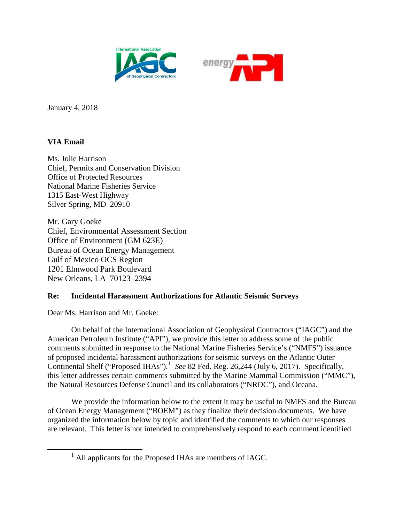



January 4, 2018

# **VIA Email**

Ms. Jolie Harrison Chief, Permits and Conservation Division Office of Protected Resources National Marine Fisheries Service 1315 East-West Highway Silver Spring, MD 20910

Mr. Gary Goeke Chief, Environmental Assessment Section Office of Environment (GM 623E) Bureau of Ocean Energy Management Gulf of Mexico OCS Region 1201 Elmwood Park Boulevard New Orleans, LA 70123–2394

## **Re: Incidental Harassment Authorizations for Atlantic Seismic Surveys**

Dear Ms. Harrison and Mr. Goeke:

On behalf of the International Association of Geophysical Contractors ("IAGC") and the American Petroleum Institute ("API"), we provide this letter to address some of the public comments submitted in response to the National Marine Fisheries Service's ("NMFS") issuance of proposed incidental harassment authorizations for seismic surveys on the Atlantic Outer Continental Shelf ("Proposed IHAs").<sup>[1](#page-0-0)</sup> See 82 Fed. Reg. 26,244 (July 6, 2017). Specifically, this letter addresses certain comments submitted by the Marine Mammal Commission ("MMC"), the Natural Resources Defense Council and its collaborators ("NRDC"), and Oceana.

We provide the information below to the extent it may be useful to NMFS and the Bureau of Ocean Energy Management ("BOEM") as they finalize their decision documents. We have organized the information below by topic and identified the comments to which our responses are relevant. This letter is not intended to comprehensively respond to each comment identified

<span id="page-0-0"></span> <sup>1</sup> All applicants for the Proposed IHAs are members of IAGC.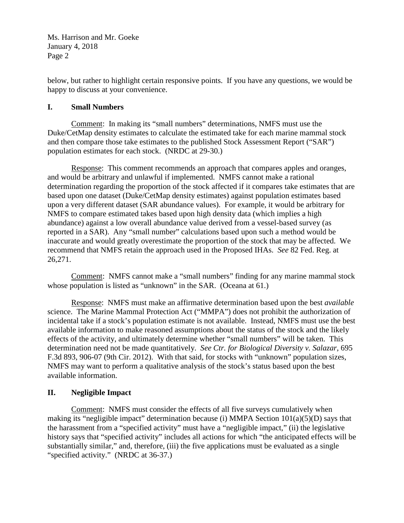below, but rather to highlight certain responsive points. If you have any questions, we would be happy to discuss at your convenience.

### **I. Small Numbers**

Comment: In making its "small numbers" determinations, NMFS must use the Duke/CetMap density estimates to calculate the estimated take for each marine mammal stock and then compare those take estimates to the published Stock Assessment Report ("SAR") population estimates for each stock. (NRDC at 29-30.)

Response: This comment recommends an approach that compares apples and oranges, and would be arbitrary and unlawful if implemented. NMFS cannot make a rational determination regarding the proportion of the stock affected if it compares take estimates that are based upon one dataset (Duke/CetMap density estimates) against population estimates based upon a very different dataset (SAR abundance values). For example, it would be arbitrary for NMFS to compare estimated takes based upon high density data (which implies a high abundance) against a low overall abundance value derived from a vessel-based survey (as reported in a SAR). Any "small number" calculations based upon such a method would be inaccurate and would greatly overestimate the proportion of the stock that may be affected. We recommend that NMFS retain the approach used in the Proposed IHAs. *See* 82 Fed. Reg. at 26,271.

Comment: NMFS cannot make a "small numbers" finding for any marine mammal stock whose population is listed as "unknown" in the SAR. (Oceana at 61.)

Response: NMFS must make an affirmative determination based upon the best *available* science. The Marine Mammal Protection Act ("MMPA") does not prohibit the authorization of incidental take if a stock's population estimate is not available. Instead, NMFS must use the best available information to make reasoned assumptions about the status of the stock and the likely effects of the activity, and ultimately determine whether "small numbers" will be taken. This determination need not be made quantitatively. *See Ctr. for Biological Diversity v. Salazar*, 695 F.3d 893, 906-07 (9th Cir. 2012). With that said, for stocks with "unknown" population sizes, NMFS may want to perform a qualitative analysis of the stock's status based upon the best available information.

## **II. Negligible Impact**

Comment: NMFS must consider the effects of all five surveys cumulatively when making its "negligible impact" determination because (i) MMPA Section 101(a)(5)(D) says that the harassment from a "specified activity" must have a "negligible impact," (ii) the legislative history says that "specified activity" includes all actions for which "the anticipated effects will be substantially similar," and, therefore, (iii) the five applications must be evaluated as a single "specified activity." (NRDC at 36-37.)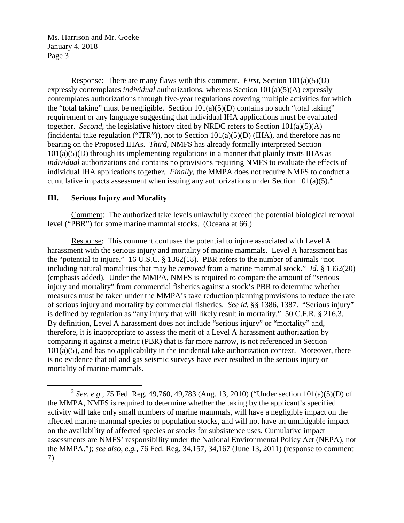Response: There are many flaws with this comment. *First*, Section 101(a)(5)(D) expressly contemplates *individual* authorizations, whereas Section 101(a)(5)(A) expressly contemplates authorizations through five-year regulations covering multiple activities for which the "total taking" must be negligible. Section  $101(a)(5)(D)$  contains no such "total taking" requirement or any language suggesting that individual IHA applications must be evaluated together. *Second*, the legislative history cited by NRDC refers to Section 101(a)(5)(A) (incidental take regulation ("ITR")), not to Section  $101(a)(5)(D)$  (IHA), and therefore has no bearing on the Proposed IHAs. *Third*, NMFS has already formally interpreted Section  $101(a)(5)(D)$  through its implementing regulations in a manner that plainly treats IHAs as *individual* authorizations and contains no provisions requiring NMFS to evaluate the effects of individual IHA applications together. *Finally*, the MMPA does not require NMFS to conduct a cumulative impacts assessment when issuing any authorizations under Section  $101(a)(5)$ .<sup>[2](#page-2-0)</sup>

#### **III. Serious Injury and Morality**

Comment: The authorized take levels unlawfully exceed the potential biological removal level ("PBR") for some marine mammal stocks. (Oceana at 66.)

Response: This comment confuses the potential to injure associated with Level A harassment with the serious injury and mortality of marine mammals. Level A harassment has the "potential to injure." 16 U.S.C. § 1362(18). PBR refers to the number of animals "not including natural mortalities that may be *removed* from a marine mammal stock." *Id*. § 1362(20) (emphasis added). Under the MMPA, NMFS is required to compare the amount of "serious injury and mortality" from commercial fisheries against a stock's PBR to determine whether measures must be taken under the MMPA's take reduction planning provisions to reduce the rate of serious injury and mortality by commercial fisheries. *See id.* §§ 1386, 1387. "Serious injury" is defined by regulation as "any injury that will likely result in mortality." 50 C.F.R. § 216.3. By definition, Level A harassment does not include "serious injury" or "mortality" and, therefore, it is inappropriate to assess the merit of a Level A harassment authorization by comparing it against a metric (PBR) that is far more narrow, is not referenced in Section  $101(a)(5)$ , and has no applicability in the incidental take authorization context. Moreover, there is no evidence that oil and gas seismic surveys have ever resulted in the serious injury or mortality of marine mammals.

<span id="page-2-0"></span> <sup>2</sup> *See, e.g.*, 75 Fed. Reg. 49,760, 49,783 (Aug. 13, 2010) ("Under section 101(a)(5)(D) of the MMPA, NMFS is required to determine whether the taking by the applicant's specified activity will take only small numbers of marine mammals, will have a negligible impact on the affected marine mammal species or population stocks, and will not have an unmitigable impact on the availability of affected species or stocks for subsistence uses. Cumulative impact assessments are NMFS' responsibility under the National Environmental Policy Act (NEPA), not the MMPA."); *see also, e.g.*, 76 Fed. Reg. 34,157, 34,167 (June 13, 2011) (response to comment 7).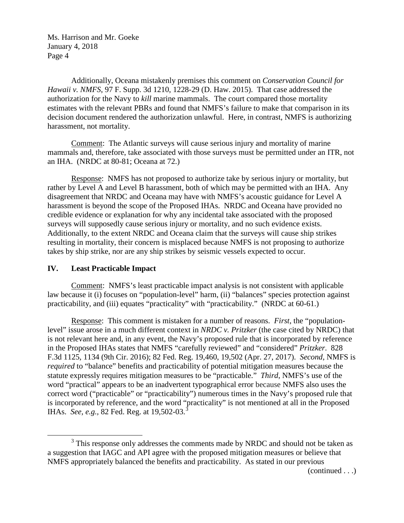Additionally, Oceana mistakenly premises this comment on *Conservation Council for Hawaii v. NMFS*, 97 F. Supp. 3d 1210, 1228-29 (D. Haw. 2015). That case addressed the authorization for the Navy to *kill* marine mammals. The court compared those mortality estimates with the relevant PBRs and found that NMFS's failure to make that comparison in its decision document rendered the authorization unlawful. Here, in contrast, NMFS is authorizing harassment, not mortality.

Comment: The Atlantic surveys will cause serious injury and mortality of marine mammals and, therefore, take associated with those surveys must be permitted under an ITR, not an IHA. (NRDC at 80-81; Oceana at 72.)

Response: NMFS has not proposed to authorize take by serious injury or mortality, but rather by Level A and Level B harassment, both of which may be permitted with an IHA. Any disagreement that NRDC and Oceana may have with NMFS's acoustic guidance for Level A harassment is beyond the scope of the Proposed IHAs. NRDC and Oceana have provided no credible evidence or explanation for why any incidental take associated with the proposed surveys will supposedly cause serious injury or mortality, and no such evidence exists. Additionally, to the extent NRDC and Oceana claim that the surveys will cause ship strikes resulting in mortality, their concern is misplaced because NMFS is not proposing to authorize takes by ship strike, nor are any ship strikes by seismic vessels expected to occur.

### **IV. Least Practicable Impact**

Comment: NMFS's least practicable impact analysis is not consistent with applicable law because it (i) focuses on "population-level" harm, (ii) "balances" species protection against practicability, and (iii) equates "practicality" with "practicability." (NRDC at 60-61.)

Response: This comment is mistaken for a number of reasons. *First*, the "populationlevel" issue arose in a much different context in *NRDC v. Pritzker* (the case cited by NRDC) that is not relevant here and, in any event, the Navy's proposed rule that is incorporated by reference in the Proposed IHAs states that NMFS "carefully reviewed" and "considered" *Pritzker*. 828 F.3d 1125, 1134 (9th Cir. 2016); 82 Fed. Reg. 19,460, 19,502 (Apr. 27, 2017). *Second*, NMFS is *required* to "balance" benefits and practicability of potential mitigation measures because the statute expressly requires mitigation measures to be "practicable." *Third*, NMFS's use of the word "practical" appears to be an inadvertent typographical error because NMFS also uses the correct word ("practicable" or "practicability") numerous times in the Navy's proposed rule that is incorporated by reference, and the word "practicality" is not mentioned at all in the Proposed IHAs. *See, e.g.*, 82 Fed. Reg. at 19,502-0[3](#page-3-0).<sup>3</sup>

(continued . . .)

<span id="page-3-0"></span><sup>&</sup>lt;sup>3</sup> This response only addresses the comments made by NRDC and should not be taken as a suggestion that IAGC and API agree with the proposed mitigation measures or believe that NMFS appropriately balanced the benefits and practicability. As stated in our previous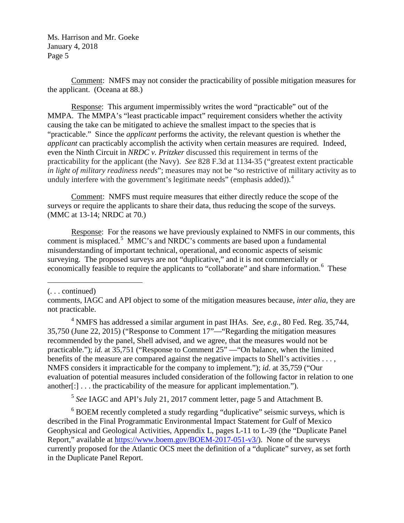Comment: NMFS may not consider the practicability of possible mitigation measures for the applicant. (Oceana at 88.)

Response: This argument impermissibly writes the word "practicable" out of the MMPA. The MMPA's "least practicable impact" requirement considers whether the activity causing the take can be mitigated to achieve the smallest impact to the species that is "practicable." Since the *applicant* performs the activity, the relevant question is whether the *applicant* can practicably accomplish the activity when certain measures are required. Indeed, even the Ninth Circuit in *NRDC v. Pritzker* discussed this requirement in terms of the practicability for the applicant (the Navy). *See* 828 F.3d at 1134-35 ("greatest extent practicable *in light of military readiness needs*"; measures may not be "so restrictive of military activity as to unduly interfere with the government's legitimate needs" (emphasis added)). $4$ 

Comment: NMFS must require measures that either directly reduce the scope of the surveys or require the applicants to share their data, thus reducing the scope of the surveys. (MMC at 13-14; NRDC at 70.)

Response: For the reasons we have previously explained to NMFS in our comments, this comment is misplaced.<sup>[5](#page-4-1)</sup> MMC's and NRDC's comments are based upon a fundamental misunderstanding of important technical, operational, and economic aspects of seismic surveying. The proposed surveys are not "duplicative," and it is not commercially or economically feasible to require the applicants to "collaborate" and share information.<sup>[6](#page-4-2)</sup> These

(. . . continued)

 $\overline{a}$ 

<span id="page-4-0"></span><sup>4</sup> NMFS has addressed a similar argument in past IHAs. *See, e.g.,* 80 Fed. Reg. 35,744, 35,750 (June 22, 2015) ("Response to Comment 17"—"Regarding the mitigation measures recommended by the panel, Shell advised, and we agree, that the measures would not be practicable."); *id.* at 35,751 ("Response to Comment 25" —"On balance, when the limited benefits of the measure are compared against the negative impacts to Shell's activities . . . , NMFS considers it impracticable for the company to implement."); *id.* at 35,759 ("Our evaluation of potential measures included consideration of the following factor in relation to one another[:] . . . the practicability of the measure for applicant implementation.").

<sup>5</sup> *See* IAGC and API's July 21, 2017 comment letter, page 5 and Attachment B.

<span id="page-4-2"></span><span id="page-4-1"></span><sup>6</sup> BOEM recently completed a study regarding "duplicative" seismic surveys, which is described in the Final Programmatic Environmental Impact Statement for Gulf of Mexico Geophysical and Geological Activities, Appendix L, pages L-11 to L-39 (the "Duplicate Panel Report," available at [https://www.boem.gov/BOEM-2017-051-v3/\)](https://www.boem.gov/BOEM-2017-051-v3/). None of the surveys currently proposed for the Atlantic OCS meet the definition of a "duplicate" survey, as set forth in the Duplicate Panel Report.

comments, IAGC and API object to some of the mitigation measures because, *inter alia*, they are not practicable.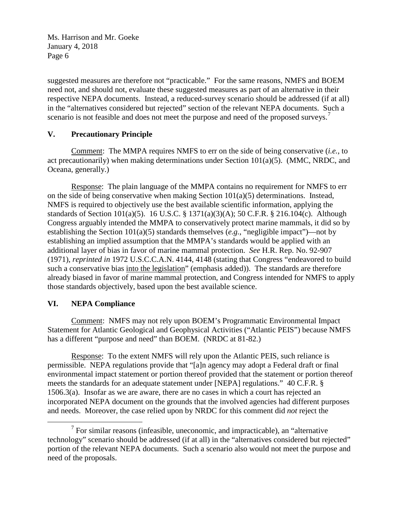suggested measures are therefore not "practicable." For the same reasons, NMFS and BOEM need not, and should not, evaluate these suggested measures as part of an alternative in their respective NEPA documents. Instead, a reduced-survey scenario should be addressed (if at all) in the "alternatives considered but rejected" section of the relevant NEPA documents. Such a scenario is not feasible and does not meet the purpose and need of the proposed surveys.<sup>[7](#page-5-0)</sup>

## **V. Precautionary Principle**

Comment: The MMPA requires NMFS to err on the side of being conservative (*i.e.*, to act precautionarily) when making determinations under Section  $101(a)(5)$ . (MMC, NRDC, and Oceana, generally.)

Response: The plain language of the MMPA contains no requirement for NMFS to err on the side of being conservative when making Section 101(a)(5) determinations. Instead, NMFS is required to objectively use the best available scientific information, applying the standards of Section 101(a)(5). 16 U.S.C. § 1371(a)(3)(A); 50 C.F.R. § 216.104(c). Although Congress arguably intended the MMPA to conservatively protect marine mammals, it did so by establishing the Section 101(a)(5) standards themselves (*e.g.*, "negligible impact")—not by establishing an implied assumption that the MMPA's standards would be applied with an additional layer of bias in favor of marine mammal protection. *See* H.R. Rep. No. 92-907 (1971), *reprinted in* 1972 U.S.C.C.A.N. 4144, 4148 (stating that Congress "endeavored to build such a conservative bias into the legislation" (emphasis added)). The standards are therefore already biased in favor of marine mammal protection, and Congress intended for NMFS to apply those standards objectively, based upon the best available science.

## **VI. NEPA Compliance**

Comment: NMFS may not rely upon BOEM's Programmatic Environmental Impact Statement for Atlantic Geological and Geophysical Activities ("Atlantic PEIS") because NMFS has a different "purpose and need" than BOEM. (NRDC at 81-82.)

Response: To the extent NMFS will rely upon the Atlantic PEIS, such reliance is permissible. NEPA regulations provide that "[a]n agency may adopt a Federal draft or final environmental impact statement or portion thereof provided that the statement or portion thereof meets the standards for an adequate statement under [NEPA] regulations." 40 C.F.R. § 1506.3(a). Insofar as we are aware, there are no cases in which a court has rejected an incorporated NEPA document on the grounds that the involved agencies had different purposes and needs. Moreover, the case relied upon by NRDC for this comment did *not* reject the

<span id="page-5-0"></span> $<sup>7</sup>$  For similar reasons (infeasible, uneconomic, and impracticable), an "alternative</sup> technology" scenario should be addressed (if at all) in the "alternatives considered but rejected" portion of the relevant NEPA documents. Such a scenario also would not meet the purpose and need of the proposals.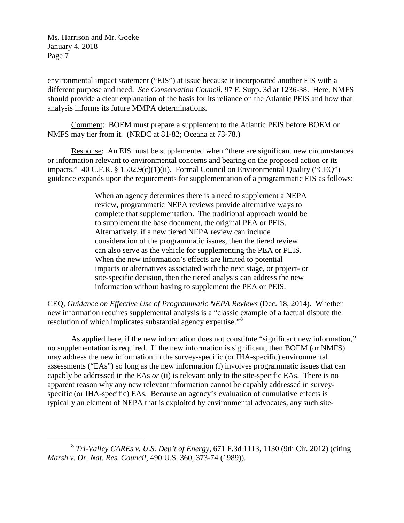environmental impact statement ("EIS") at issue because it incorporated another EIS with a different purpose and need. *See Conservation Council*, 97 F. Supp. 3d at 1236-38. Here, NMFS should provide a clear explanation of the basis for its reliance on the Atlantic PEIS and how that analysis informs its future MMPA determinations.

Comment: BOEM must prepare a supplement to the Atlantic PEIS before BOEM or NMFS may tier from it. (NRDC at 81-82; Oceana at 73-78.)

Response: An EIS must be supplemented when "there are significant new circumstances or information relevant to environmental concerns and bearing on the proposed action or its impacts." 40 C.F.R. § 1502.9(c)(1)(ii). Formal Council on Environmental Quality ("CEQ") guidance expands upon the requirements for supplementation of a programmatic EIS as follows:

> When an agency determines there is a need to supplement a NEPA review, programmatic NEPA reviews provide alternative ways to complete that supplementation. The traditional approach would be to supplement the base document, the original PEA or PEIS. Alternatively, if a new tiered NEPA review can include consideration of the programmatic issues, then the tiered review can also serve as the vehicle for supplementing the PEA or PEIS. When the new information's effects are limited to potential impacts or alternatives associated with the next stage, or project- or site-specific decision, then the tiered analysis can address the new information without having to supplement the PEA or PEIS.

CEQ, *Guidance on Effective Use of Programmatic NEPA Reviews* (Dec. 18, 2014). Whether new information requires supplemental analysis is a "classic example of a factual dispute the resolution of which implicates substantial agency expertise."<sup>[8](#page-6-0)</sup>

As applied here, if the new information does not constitute "significant new information," no supplementation is required. If the new information is significant, then BOEM (or NMFS) may address the new information in the survey-specific (or IHA-specific) environmental assessments ("EAs") so long as the new information (i) involves programmatic issues that can capably be addressed in the EAs *or* (ii) is relevant only to the site-specific EAs. There is no apparent reason why any new relevant information cannot be capably addressed in surveyspecific (or IHA-specific) EAs. Because an agency's evaluation of cumulative effects is typically an element of NEPA that is exploited by environmental advocates, any such site-

<span id="page-6-0"></span> <sup>8</sup> *Tri-Valley CAREs v. U.S. Dep't of Energy*, 671 F.3d 1113, 1130 (9th Cir. 2012) (citing *Marsh v. Or. Nat. Res. Council,* 490 U.S. 360, 373-74 (1989)).